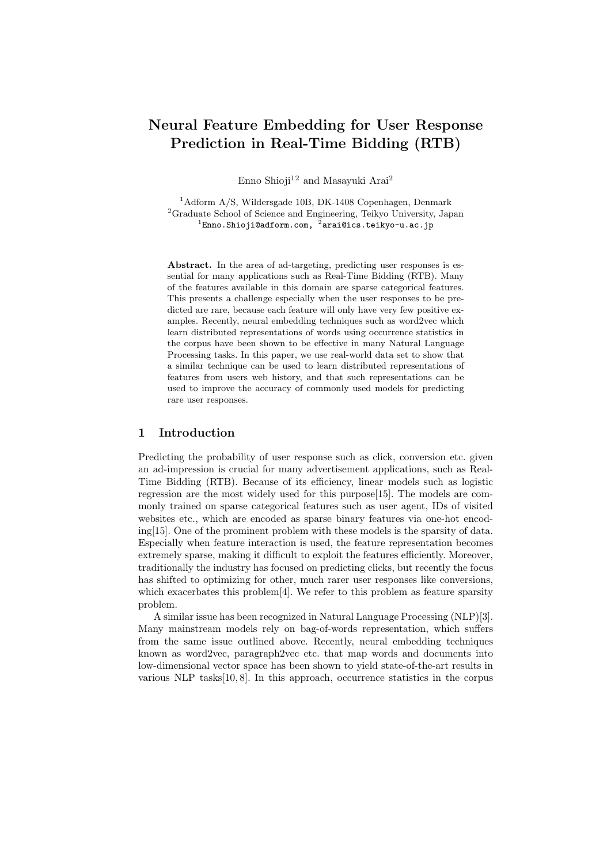# Neural Feature Embedding for User Response Prediction in Real-Time Bidding (RTB)

Enno Shioji<sup>12</sup> and Masayuki Arai<sup>2</sup>

<sup>1</sup>Adform A/S, Wildersgade 10B, DK-1408 Copenhagen, Denmark  ${}^{2}$ Graduate School of Science and Engineering, Teikyo University, Japan<br><sup>1</sup>Enno.Shioji@adform.com, <sup>2</sup>arai@ics.teikyo-u.ac.jp

Abstract. In the area of ad-targeting, predicting user responses is essential for many applications such as Real-Time Bidding (RTB). Many of the features available in this domain are sparse categorical features. This presents a challenge especially when the user responses to be predicted are rare, because each feature will only have very few positive examples. Recently, neural embedding techniques such as word2vec which learn distributed representations of words using occurrence statistics in the corpus have been shown to be effective in many Natural Language Processing tasks. In this paper, we use real-world data set to show that a similar technique can be used to learn distributed representations of features from users web history, and that such representations can be used to improve the accuracy of commonly used models for predicting rare user responses.

# 1 Introduction

Predicting the probability of user response such as click, conversion etc. given an ad-impression is crucial for many advertisement applications, such as Real-Time Bidding (RTB). Because of its efficiency, linear models such as logistic regression are the most widely used for this purpose[15]. The models are commonly trained on sparse categorical features such as user agent, IDs of visited websites etc., which are encoded as sparse binary features via one-hot encoding[15]. One of the prominent problem with these models is the sparsity of data. Especially when feature interaction is used, the feature representation becomes extremely sparse, making it difficult to exploit the features efficiently. Moreover, traditionally the industry has focused on predicting clicks, but recently the focus has shifted to optimizing for other, much rarer user responses like conversions, which exacerbates this problem<sup>[4]</sup>. We refer to this problem as feature sparsity problem.

A similar issue has been recognized in Natural Language Processing (NLP)[3]. Many mainstream models rely on bag-of-words representation, which suffers from the same issue outlined above. Recently, neural embedding techniques known as word2vec, paragraph2vec etc. that map words and documents into low-dimensional vector space has been shown to yield state-of-the-art results in various NLP tasks[10, 8]. In this approach, occurrence statistics in the corpus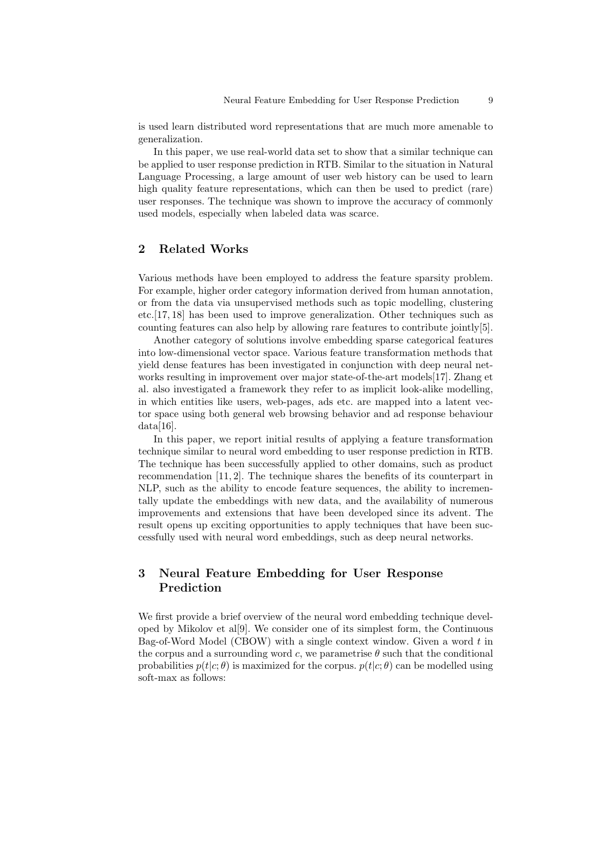is used learn distributed word representations that are much more amenable to generalization.

In this paper, we use real-world data set to show that a similar technique can be applied to user response prediction in RTB. Similar to the situation in Natural Language Processing, a large amount of user web history can be used to learn high quality feature representations, which can then be used to predict (rare) user responses. The technique was shown to improve the accuracy of commonly used models, especially when labeled data was scarce.

# 2 Related Works

Various methods have been employed to address the feature sparsity problem. For example, higher order category information derived from human annotation, or from the data via unsupervised methods such as topic modelling, clustering etc.[17, 18] has been used to improve generalization. Other techniques such as counting features can also help by allowing rare features to contribute jointly[5].

Another category of solutions involve embedding sparse categorical features into low-dimensional vector space. Various feature transformation methods that yield dense features has been investigated in conjunction with deep neural networks resulting in improvement over major state-of-the-art models[17]. Zhang et al. also investigated a framework they refer to as implicit look-alike modelling, in which entities like users, web-pages, ads etc. are mapped into a latent vector space using both general web browsing behavior and ad response behaviour data[16].

In this paper, we report initial results of applying a feature transformation technique similar to neural word embedding to user response prediction in RTB. The technique has been successfully applied to other domains, such as product recommendation [11, 2]. The technique shares the benefits of its counterpart in NLP, such as the ability to encode feature sequences, the ability to incrementally update the embeddings with new data, and the availability of numerous improvements and extensions that have been developed since its advent. The result opens up exciting opportunities to apply techniques that have been successfully used with neural word embeddings, such as deep neural networks.

# 3 Neural Feature Embedding for User Response Prediction

We first provide a brief overview of the neural word embedding technique developed by Mikolov et al[9]. We consider one of its simplest form, the Continuous Bag-of-Word Model (CBOW) with a single context window. Given a word  $t$  in the corpus and a surrounding word c, we parametrise  $\theta$  such that the conditional probabilities  $p(t|c; \theta)$  is maximized for the corpus.  $p(t|c; \theta)$  can be modelled using soft-max as follows: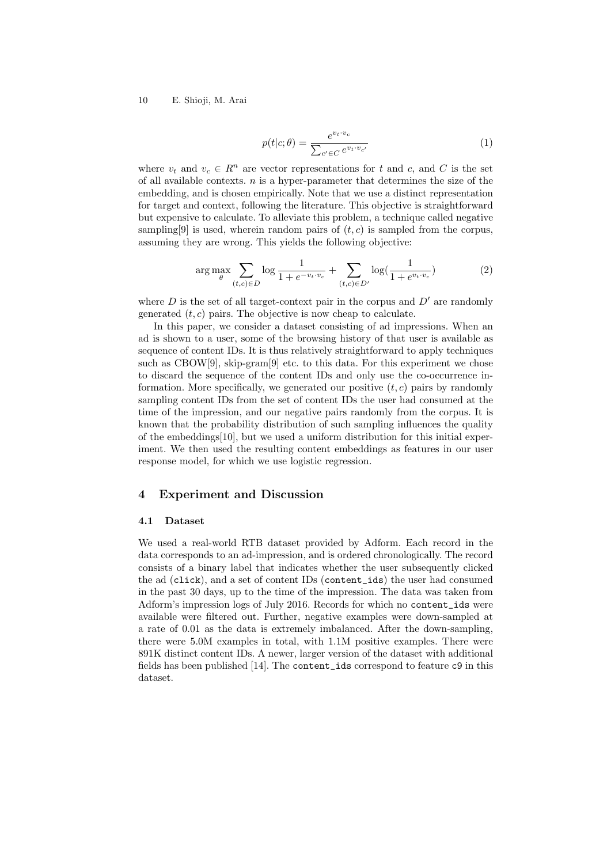### 10 E. Shioji, M. Arai

$$
p(t|c; \theta) = \frac{e^{v_t \cdot v_c}}{\sum_{c' \in C} e^{v_t \cdot v_{c'}}}
$$
\n<sup>(1)</sup>

where  $v_t$  and  $v_c \in \mathbb{R}^n$  are vector representations for t and c, and C is the set of all available contexts.  $n$  is a hyper-parameter that determines the size of the embedding, and is chosen empirically. Note that we use a distinct representation for target and context, following the literature. This objective is straightforward but expensive to calculate. To alleviate this problem, a technique called negative sampling [9] is used, wherein random pairs of  $(t, c)$  is sampled from the corpus, assuming they are wrong. This yields the following objective:

$$
\arg \max_{\theta} \sum_{(t,c) \in D} \log \frac{1}{1 + e^{-v_t \cdot v_c}} + \sum_{(t,c) \in D'} \log(\frac{1}{1 + e^{v_t \cdot v_c}}) \tag{2}
$$

where  $D$  is the set of all target-context pair in the corpus and  $D'$  are randomly generated  $(t, c)$  pairs. The objective is now cheap to calculate.

In this paper, we consider a dataset consisting of ad impressions. When an ad is shown to a user, some of the browsing history of that user is available as sequence of content IDs. It is thus relatively straightforward to apply techniques such as  $CBOW[9]$ , skip-gram $[9]$  etc. to this data. For this experiment we chose to discard the sequence of the content IDs and only use the co-occurrence information. More specifically, we generated our positive  $(t, c)$  pairs by randomly sampling content IDs from the set of content IDs the user had consumed at the time of the impression, and our negative pairs randomly from the corpus. It is known that the probability distribution of such sampling influences the quality of the embeddings[10], but we used a uniform distribution for this initial experiment. We then used the resulting content embeddings as features in our user response model, for which we use logistic regression.

# 4 Experiment and Discussion

#### 4.1 Dataset

We used a real-world RTB dataset provided by Adform. Each record in the data corresponds to an ad-impression, and is ordered chronologically. The record consists of a binary label that indicates whether the user subsequently clicked the ad (click), and a set of content IDs (content\_ids) the user had consumed in the past 30 days, up to the time of the impression. The data was taken from Adform's impression logs of July 2016. Records for which no content\_ids were available were filtered out. Further, negative examples were down-sampled at a rate of 0.01 as the data is extremely imbalanced. After the down-sampling, there were 5.0M examples in total, with 1.1M positive examples. There were 891K distinct content IDs. A newer, larger version of the dataset with additional fields has been published [14]. The content\_ids correspond to feature c9 in this dataset.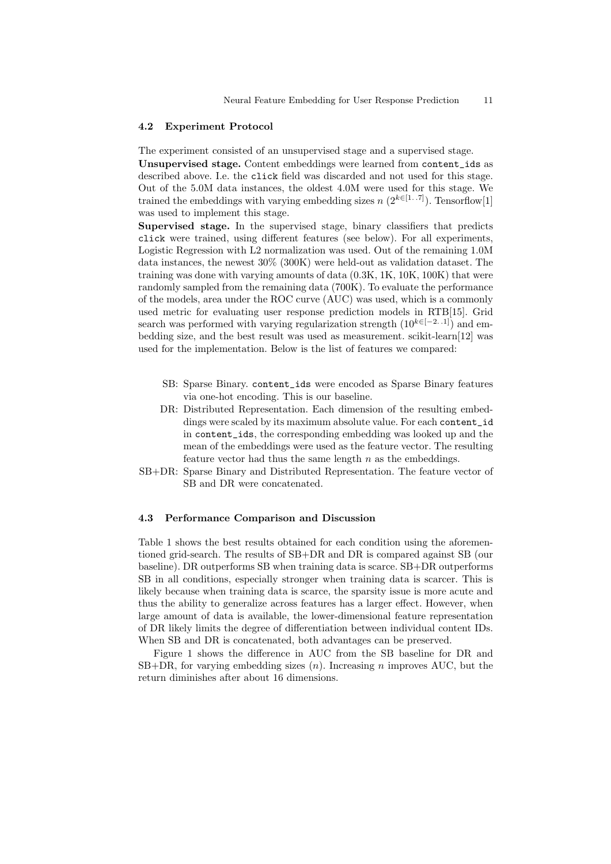### 4.2 Experiment Protocol

The experiment consisted of an unsupervised stage and a supervised stage.

Unsupervised stage. Content embeddings were learned from content\_ids as described above. I.e. the click field was discarded and not used for this stage. Out of the 5.0M data instances, the oldest 4.0M were used for this stage. We trained the embeddings with varying embedding sizes  $n (2^{k \in [1..7]})$ . Tensorflow[1] was used to implement this stage.

Supervised stage. In the supervised stage, binary classifiers that predicts click were trained, using different features (see below). For all experiments, Logistic Regression with L2 normalization was used. Out of the remaining 1.0M data instances, the newest 30% (300K) were held-out as validation dataset. The training was done with varying amounts of data (0.3K, 1K, 10K, 100K) that were randomly sampled from the remaining data (700K). To evaluate the performance of the models, area under the ROC curve (AUC) was used, which is a commonly used metric for evaluating user response prediction models in RTB[15]. Grid search was performed with varying regularization strength  $(10^{k\in[-2..1]})$  and embedding size, and the best result was used as measurement. scikit-learn[12] was used for the implementation. Below is the list of features we compared:

- SB: Sparse Binary. content\_ids were encoded as Sparse Binary features via one-hot encoding. This is our baseline.
- DR: Distributed Representation. Each dimension of the resulting embeddings were scaled by its maximum absolute value. For each content\_id in content\_ids, the corresponding embedding was looked up and the mean of the embeddings were used as the feature vector. The resulting feature vector had thus the same length  $n$  as the embeddings.
- SB+DR: Sparse Binary and Distributed Representation. The feature vector of SB and DR were concatenated.

### 4.3 Performance Comparison and Discussion

Table 1 shows the best results obtained for each condition using the aforementioned grid-search. The results of SB+DR and DR is compared against SB (our baseline). DR outperforms SB when training data is scarce. SB+DR outperforms SB in all conditions, especially stronger when training data is scarcer. This is likely because when training data is scarce, the sparsity issue is more acute and thus the ability to generalize across features has a larger effect. However, when large amount of data is available, the lower-dimensional feature representation of DR likely limits the degree of differentiation between individual content IDs. When SB and DR is concatenated, both advantages can be preserved.

Figure 1 shows the difference in AUC from the SB baseline for DR and  $SB+DR$ , for varying embedding sizes  $(n)$ . Increasing n improves AUC, but the return diminishes after about 16 dimensions.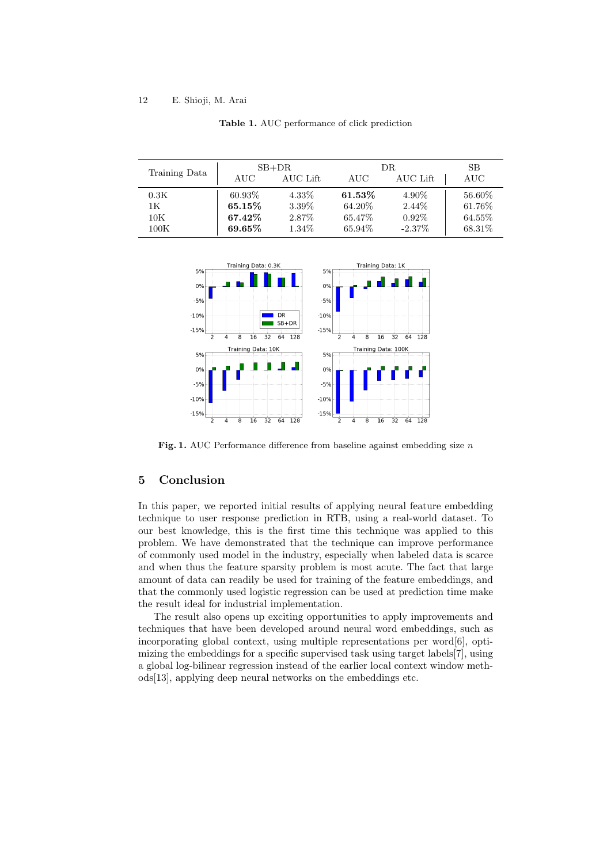### 12 E. Shioji, M. Arai

| Training Data  | $SB+DR$   |          | DR.    |           | <b>SB</b> |
|----------------|-----------|----------|--------|-----------|-----------|
|                | AUC       | AUC Lift | AUC    | AUC Lift  | AUC       |
| 0.3K           | 60.93%    | 4.33%    | 61.53% | 4.90%     | 56.60%    |
| 1K             | $65.15\%$ | 3.39%    | 64.20% | 2.44\%    | 61.76\%   |
| $10\mathrm{K}$ | 67.42\%   | 2.87%    | 65.47% | $0.92\%$  | 64.55%    |
| 100K           | $69.65\%$ | 1.34\%   | 65.94% | $-2.37\%$ | 68.31\%   |

Table 1. AUC performance of click prediction



Fig. 1. AUC Performance difference from baseline against embedding size  $n$ 

# 5 Conclusion

In this paper, we reported initial results of applying neural feature embedding technique to user response prediction in RTB, using a real-world dataset. To our best knowledge, this is the first time this technique was applied to this problem. We have demonstrated that the technique can improve performance of commonly used model in the industry, especially when labeled data is scarce and when thus the feature sparsity problem is most acute. The fact that large amount of data can readily be used for training of the feature embeddings, and that the commonly used logistic regression can be used at prediction time make the result ideal for industrial implementation.

The result also opens up exciting opportunities to apply improvements and techniques that have been developed around neural word embeddings, such as incorporating global context, using multiple representations per word[6], optimizing the embeddings for a specific supervised task using target labels[7], using a global log-bilinear regression instead of the earlier local context window methods[13], applying deep neural networks on the embeddings etc.